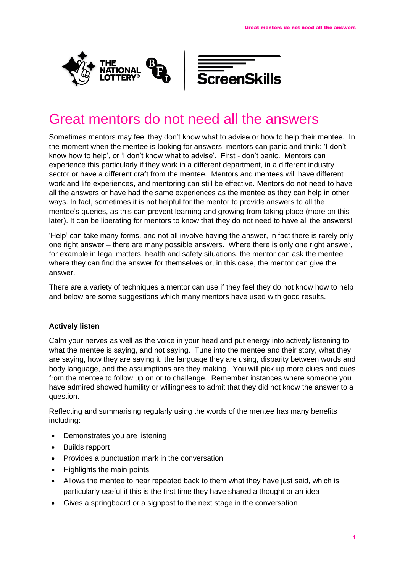



# Great mentors do not need all the answers

Sometimes mentors may feel they don't know what to advise or how to help their mentee. In the moment when the mentee is looking for answers, mentors can panic and think: 'I don't know how to help', or 'I don't know what to advise'. First - don't panic. Mentors can experience this particularly if they work in a different department, in a different industry sector or have a different craft from the mentee. Mentors and mentees will have different work and life experiences, and mentoring can still be effective. Mentors do not need to have all the answers or have had the same experiences as the mentee as they can help in other ways. In fact, sometimes it is not helpful for the mentor to provide answers to all the mentee's queries, as this can prevent learning and growing from taking place (more on this later). It can be liberating for mentors to know that they do not need to have all the answers!

'Help' can take many forms, and not all involve having the answer, in fact there is rarely only one right answer – there are many possible answers. Where there is only one right answer, for example in legal matters, health and safety situations, the mentor can ask the mentee where they can find the answer for themselves or, in this case, the mentor can give the answer.

There are a variety of techniques a mentor can use if they feel they do not know how to help and below are some suggestions which many mentors have used with good results.

# **Actively listen**

Calm your nerves as well as the voice in your head and put energy into actively listening to what the mentee is saying, and not saying. Tune into the mentee and their story, what they are saying, how they are saying it, the language they are using, disparity between words and body language, and the assumptions are they making. You will pick up more clues and cues from the mentee to follow up on or to challenge. Remember instances where someone you have admired showed humility or willingness to admit that they did not know the answer to a question.

Reflecting and summarising regularly using the words of the mentee has many benefits including:

- Demonstrates you are listening
- Builds rapport
- Provides a punctuation mark in the conversation
- Highlights the main points
- Allows the mentee to hear repeated back to them what they have just said, which is particularly useful if this is the first time they have shared a thought or an idea
- Gives a springboard or a signpost to the next stage in the conversation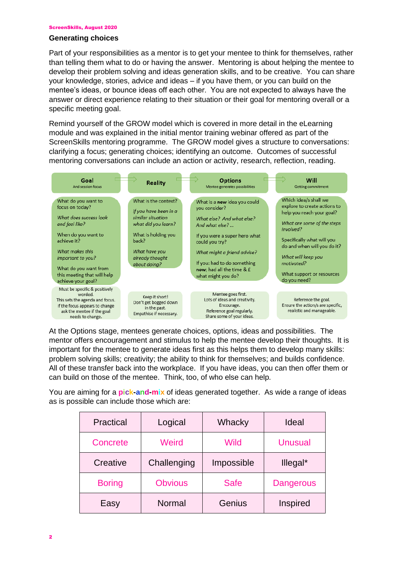#### ScreenSkills, August 2020

### **Generating choices**

Part of your responsibilities as a mentor is to get your mentee to think for themselves, rather than telling them what to do or having the answer. Mentoring is about helping the mentee to develop their problem solving and ideas generation skills, and to be creative. You can share your knowledge, stories, advice and ideas – if you have them, or you can build on the mentee's ideas, or bounce ideas off each other. You are not expected to always have the answer or direct experience relating to their situation or their goal for mentoring overall or a specific meeting goal.

Remind yourself of the GROW model which is covered in more detail in the eLearning module and was explained in the initial mentor training webinar offered as part of the ScreenSkills mentoring programme. The GROW model gives a structure to conversations: clarifying a focus; generating choices; identifying an outcome. Outcomes of successful mentoring conversations can include an action or activity, research, reflection, reading.



At the Options stage, mentees generate choices, options, ideas and possibilities. The mentor offers encouragement and stimulus to help the mentee develop their thoughts. It is important for the mentee to generate ideas first as this helps them to develop many skills: problem solving skills; creativity; the ability to think for themselves; and builds confidence. All of these transfer back into the workplace. If you have ideas, you can then offer them or can build on those of the mentee. Think, too, of who else can help.

You are aiming for a **pick-and-mix** of ideas generated together. As wide a range of ideas as is possible can include those which are:

| Practical     | Logical        | Whacky      | Ideal            |
|---------------|----------------|-------------|------------------|
| Concrete      | Weird          | Wild        | <b>Unusual</b>   |
| Creative      | Challenging    | Impossible  | Illegal*         |
| <b>Boring</b> | <b>Obvious</b> | <b>Safe</b> | <b>Dangerous</b> |
| Easy          | Normal         | Genius      | Inspired         |